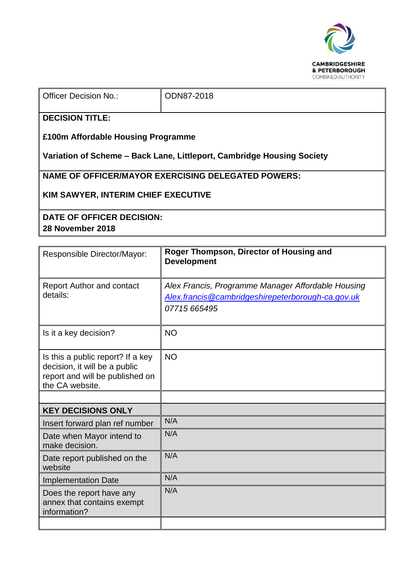

ODN87-2018

## **DECISION TITLE:**

**£100m Affordable Housing Programme**

**Variation of Scheme – Back Lane, Littleport, Cambridge Housing Society**

**NAME OF OFFICER/MAYOR EXERCISING DELEGATED POWERS:**

**KIM SAWYER, INTERIM CHIEF EXECUTIVE**

**DATE OF OFFICER DECISION: 28 November 2018**

| Responsible Director/Mayor:                                                                                              | Roger Thompson, Director of Housing and<br><b>Development</b>                                                           |  |  |
|--------------------------------------------------------------------------------------------------------------------------|-------------------------------------------------------------------------------------------------------------------------|--|--|
| <b>Report Author and contact</b><br>details:                                                                             | Alex Francis, Programme Manager Affordable Housing<br>Alex.francis@cambridgeshirepeterborough-ca.gov.uk<br>07715 665495 |  |  |
| Is it a key decision?                                                                                                    | <b>NO</b>                                                                                                               |  |  |
| Is this a public report? If a key<br>decision, it will be a public<br>report and will be published on<br>the CA website. | <b>NO</b>                                                                                                               |  |  |
|                                                                                                                          |                                                                                                                         |  |  |
| <b>KEY DECISIONS ONLY</b>                                                                                                |                                                                                                                         |  |  |
| Insert forward plan ref number                                                                                           | N/A                                                                                                                     |  |  |
| Date when Mayor intend to<br>make decision.                                                                              | N/A                                                                                                                     |  |  |
| Date report published on the<br>website                                                                                  | N/A                                                                                                                     |  |  |
| <b>Implementation Date</b>                                                                                               | N/A                                                                                                                     |  |  |
| Does the report have any<br>annex that contains exempt<br>information?                                                   | N/A                                                                                                                     |  |  |
|                                                                                                                          |                                                                                                                         |  |  |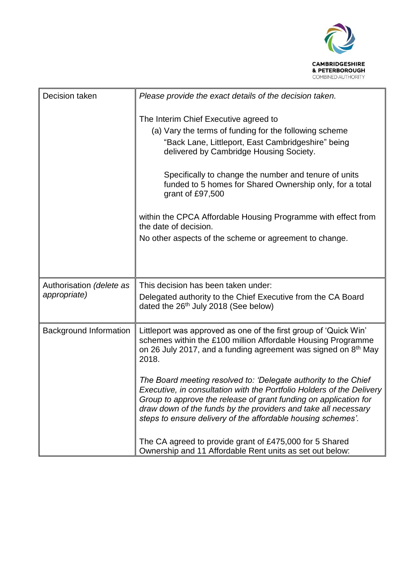

| Decision taken                | Please provide the exact details of the decision taken.                                                                                                                                                                                                                                                                                        |
|-------------------------------|------------------------------------------------------------------------------------------------------------------------------------------------------------------------------------------------------------------------------------------------------------------------------------------------------------------------------------------------|
|                               | The Interim Chief Executive agreed to                                                                                                                                                                                                                                                                                                          |
|                               | (a) Vary the terms of funding for the following scheme                                                                                                                                                                                                                                                                                         |
|                               | "Back Lane, Littleport, East Cambridgeshire" being<br>delivered by Cambridge Housing Society.                                                                                                                                                                                                                                                  |
|                               | Specifically to change the number and tenure of units<br>funded to 5 homes for Shared Ownership only, for a total<br>grant of £97,500                                                                                                                                                                                                          |
|                               | within the CPCA Affordable Housing Programme with effect from<br>the date of decision.                                                                                                                                                                                                                                                         |
|                               | No other aspects of the scheme or agreement to change.                                                                                                                                                                                                                                                                                         |
|                               |                                                                                                                                                                                                                                                                                                                                                |
| Authorisation (delete as      | This decision has been taken under:                                                                                                                                                                                                                                                                                                            |
| appropriate)                  | Delegated authority to the Chief Executive from the CA Board<br>dated the 26 <sup>th</sup> July 2018 (See below)                                                                                                                                                                                                                               |
| <b>Background Information</b> | Littleport was approved as one of the first group of 'Quick Win'<br>schemes within the £100 million Affordable Housing Programme<br>on 26 July 2017, and a funding agreement was signed on $8th$ May<br>2018.                                                                                                                                  |
|                               | The Board meeting resolved to: 'Delegate authority to the Chief<br>Executive, in consultation with the Portfolio Holders of the Delivery<br>Group to approve the release of grant funding on application for<br>draw down of the funds by the providers and take all necessary<br>steps to ensure delivery of the affordable housing schemes'. |
|                               | The CA agreed to provide grant of £475,000 for 5 Shared<br>Ownership and 11 Affordable Rent units as set out below:                                                                                                                                                                                                                            |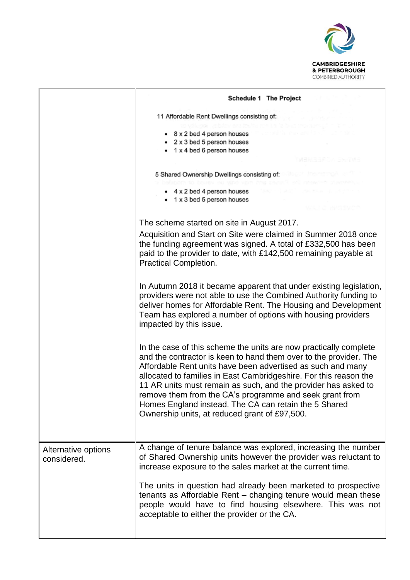

|                                    | Schedule 1 The Project                                                                                                                                                                                                                                                                                                                                                                                                                                                                                            |  |  |
|------------------------------------|-------------------------------------------------------------------------------------------------------------------------------------------------------------------------------------------------------------------------------------------------------------------------------------------------------------------------------------------------------------------------------------------------------------------------------------------------------------------------------------------------------------------|--|--|
|                                    | 11 Affordable Rent Dwellings consisting of:                                                                                                                                                                                                                                                                                                                                                                                                                                                                       |  |  |
|                                    | 8 x 2 bed 4 person houses<br>2 x 3 bed 5 person houses<br>1 x 4 bed 6 person houses                                                                                                                                                                                                                                                                                                                                                                                                                               |  |  |
|                                    | 5 Shared Ownership Dwellings consisting of:                                                                                                                                                                                                                                                                                                                                                                                                                                                                       |  |  |
|                                    | 4 x 2 bed 4 person houses<br>• 1 x 3 bed 5 person houses                                                                                                                                                                                                                                                                                                                                                                                                                                                          |  |  |
|                                    | The scheme started on site in August 2017.                                                                                                                                                                                                                                                                                                                                                                                                                                                                        |  |  |
|                                    | Acquisition and Start on Site were claimed in Summer 2018 once<br>the funding agreement was signed. A total of £332,500 has been<br>paid to the provider to date, with £142,500 remaining payable at<br><b>Practical Completion.</b>                                                                                                                                                                                                                                                                              |  |  |
|                                    | In Autumn 2018 it became apparent that under existing legislation,<br>providers were not able to use the Combined Authority funding to<br>deliver homes for Affordable Rent. The Housing and Development<br>Team has explored a number of options with housing providers<br>impacted by this issue.                                                                                                                                                                                                               |  |  |
|                                    | In the case of this scheme the units are now practically complete<br>and the contractor is keen to hand them over to the provider. The<br>Affordable Rent units have been advertised as such and many<br>allocated to families in East Cambridgeshire. For this reason the<br>11 AR units must remain as such, and the provider has asked to<br>remove them from the CA's programme and seek grant from<br>Homes England instead. The CA can retain the 5 Shared<br>Ownership units, at reduced grant of £97,500. |  |  |
| Alternative options<br>considered. | A change of tenure balance was explored, increasing the number<br>of Shared Ownership units however the provider was reluctant to<br>increase exposure to the sales market at the current time.                                                                                                                                                                                                                                                                                                                   |  |  |
|                                    | The units in question had already been marketed to prospective<br>tenants as Affordable Rent - changing tenure would mean these<br>people would have to find housing elsewhere. This was not<br>acceptable to either the provider or the CA.                                                                                                                                                                                                                                                                      |  |  |